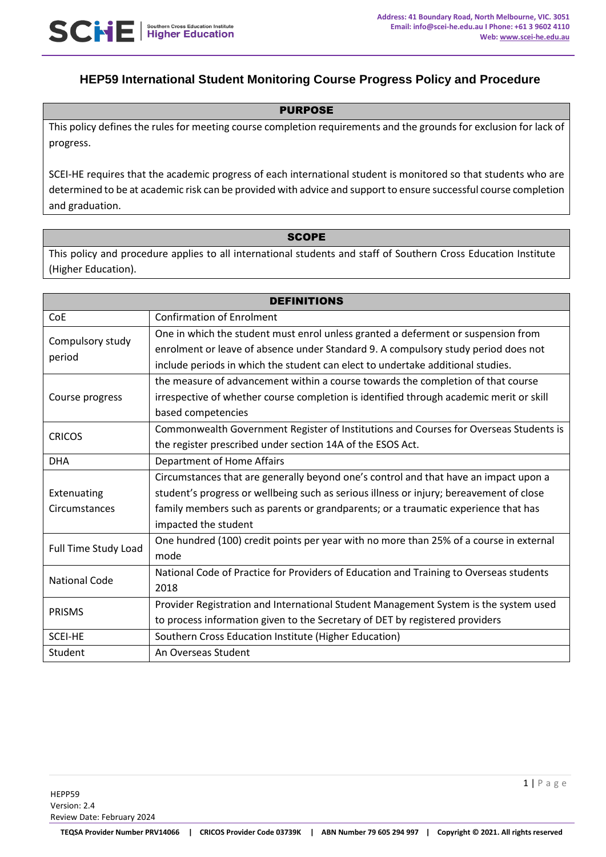# **HEP59 International Student Monitoring Course Progress Policy and Procedure**

### PURPOSE

This policy defines the rules for meeting course completion requirements and the grounds for exclusion for lack of progress.

SCEI-HE requires that the academic progress of each international student is monitored so that students who are determined to be at academic risk can be provided with advice and support to ensure successful course completion and graduation.

### **SCOPE**

This policy and procedure applies to all international students and staff of Southern Cross Education Institute (Higher Education).

| <b>DEFINITIONS</b>         |                                                                                         |  |
|----------------------------|-----------------------------------------------------------------------------------------|--|
| CoE                        | <b>Confirmation of Enrolment</b>                                                        |  |
| Compulsory study<br>period | One in which the student must enrol unless granted a deferment or suspension from       |  |
|                            | enrolment or leave of absence under Standard 9. A compulsory study period does not      |  |
|                            | include periods in which the student can elect to undertake additional studies.         |  |
|                            | the measure of advancement within a course towards the completion of that course        |  |
| Course progress            | irrespective of whether course completion is identified through academic merit or skill |  |
|                            | based competencies                                                                      |  |
| <b>CRICOS</b>              | Commonwealth Government Register of Institutions and Courses for Overseas Students is   |  |
|                            | the register prescribed under section 14A of the ESOS Act.                              |  |
| <b>DHA</b>                 | Department of Home Affairs                                                              |  |
|                            | Circumstances that are generally beyond one's control and that have an impact upon a    |  |
| Extenuating                | student's progress or wellbeing such as serious illness or injury; bereavement of close |  |
| Circumstances              | family members such as parents or grandparents; or a traumatic experience that has      |  |
|                            | impacted the student                                                                    |  |
| Full Time Study Load       | One hundred (100) credit points per year with no more than 25% of a course in external  |  |
|                            | mode                                                                                    |  |
| <b>National Code</b>       | National Code of Practice for Providers of Education and Training to Overseas students  |  |
|                            | 2018                                                                                    |  |
| <b>PRISMS</b>              | Provider Registration and International Student Management System is the system used    |  |
|                            | to process information given to the Secretary of DET by registered providers            |  |
| SCEI-HE                    | Southern Cross Education Institute (Higher Education)                                   |  |
| Student                    | An Overseas Student                                                                     |  |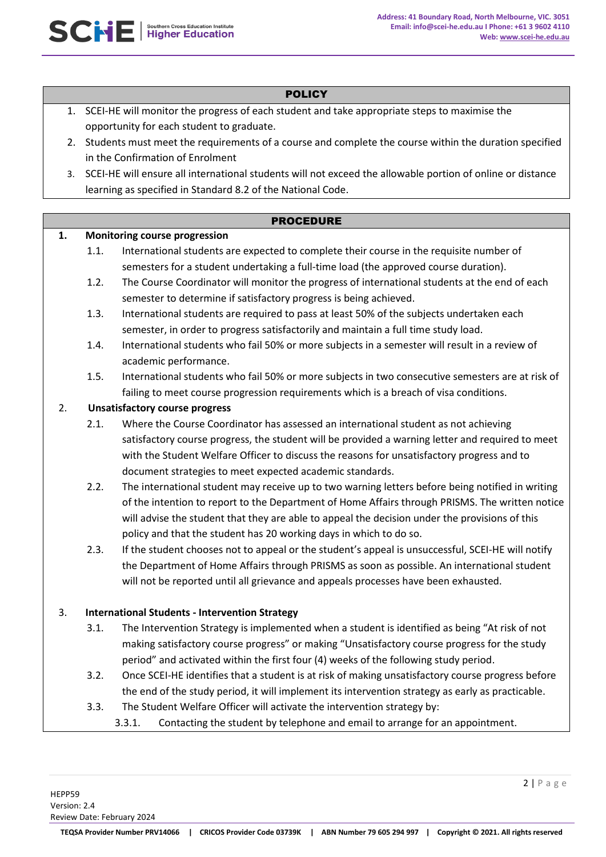

## **POLICY**

- 1. SCEI-HE will monitor the progress of each student and take appropriate steps to maximise the opportunity for each student to graduate.
- 2. Students must meet the requirements of a course and complete the course within the duration specified in the Confirmation of Enrolment
- 3. SCEI-HE will ensure all international students will not exceed the allowable portion of online or distance learning as specified in Standard 8.2 of the National Code.

## PROCEDURE

### **1. Monitoring course progression**

- 1.1. International students are expected to complete their course in the requisite number of semesters for a student undertaking a full-time load (the approved course duration).
- 1.2. The Course Coordinator will monitor the progress of international students at the end of each semester to determine if satisfactory progress is being achieved.
- 1.3. International students are required to pass at least 50% of the subjects undertaken each semester, in order to progress satisfactorily and maintain a full time study load.
- 1.4. International students who fail 50% or more subjects in a semester will result in a review of academic performance.
- 1.5. International students who fail 50% or more subjects in two consecutive semesters are at risk of failing to meet course progression requirements which is a breach of visa conditions.

## 2. **Unsatisfactory course progress**

- 2.1. Where the Course Coordinator has assessed an international student as not achieving satisfactory course progress, the student will be provided a warning letter and required to meet with the Student Welfare Officer to discuss the reasons for unsatisfactory progress and to document strategies to meet expected academic standards.
- 2.2. The international student may receive up to two warning letters before being notified in writing of the intention to report to the Department of Home Affairs through PRISMS. The written notice will advise the student that they are able to appeal the decision under the provisions of this policy and that the student has 20 working days in which to do so.
- 2.3. If the student chooses not to appeal or the student's appeal is unsuccessful, SCEI-HE will notify the Department of Home Affairs through PRISMS as soon as possible. An international student will not be reported until all grievance and appeals processes have been exhausted.

## 3. **International Students - Intervention Strategy**

- 3.1. The Intervention Strategy is implemented when a student is identified as being "At risk of not making satisfactory course progress" or making "Unsatisfactory course progress for the study period" and activated within the first four (4) weeks of the following study period.
- 3.2. Once SCEI-HE identifies that a student is at risk of making unsatisfactory course progress before the end of the study period, it will implement its intervention strategy as early as practicable.
- 3.3. The Student Welfare Officer will activate the intervention strategy by:
	- 3.3.1. Contacting the student by telephone and email to arrange for an appointment.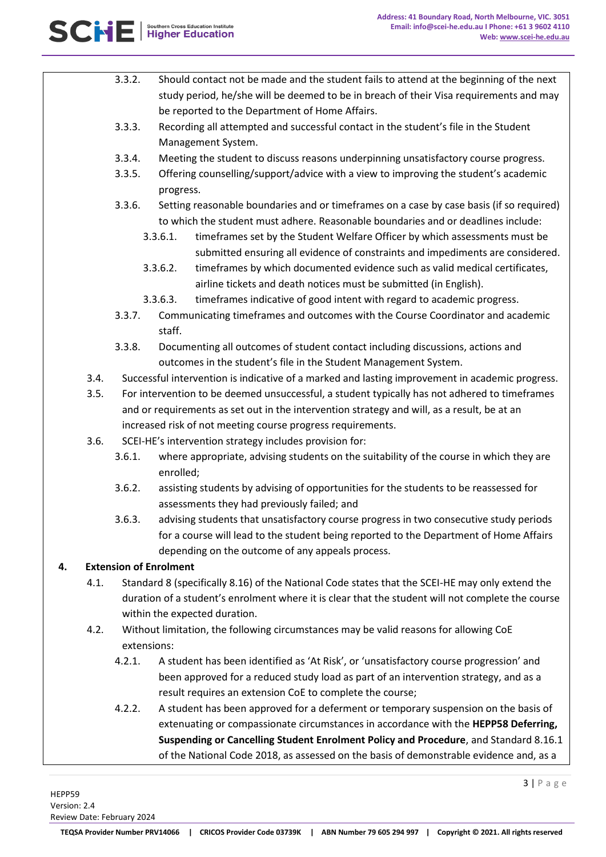

- 3.3.2. Should contact not be made and the student fails to attend at the beginning of the next study period, he/she will be deemed to be in breach of their Visa requirements and may be reported to the Department of Home Affairs.
- 3.3.3. Recording all attempted and successful contact in the student's file in the Student Management System.
- 3.3.4. Meeting the student to discuss reasons underpinning unsatisfactory course progress.
- 3.3.5. Offering counselling/support/advice with a view to improving the student's academic progress.
- 3.3.6. Setting reasonable boundaries and or timeframes on a case by case basis (if so required) to which the student must adhere. Reasonable boundaries and or deadlines include:
	- 3.3.6.1. timeframes set by the Student Welfare Officer by which assessments must be submitted ensuring all evidence of constraints and impediments are considered.
	- 3.3.6.2. timeframes by which documented evidence such as valid medical certificates, airline tickets and death notices must be submitted (in English).
	- 3.3.6.3. timeframes indicative of good intent with regard to academic progress.
- 3.3.7. Communicating timeframes and outcomes with the Course Coordinator and academic staff.
- 3.3.8. Documenting all outcomes of student contact including discussions, actions and outcomes in the student's file in the Student Management System.
- 3.4. Successful intervention is indicative of a marked and lasting improvement in academic progress.
- 3.5. For intervention to be deemed unsuccessful, a student typically has not adhered to timeframes and or requirements as set out in the intervention strategy and will, as a result, be at an increased risk of not meeting course progress requirements.
- 3.6. SCEI-HE's intervention strategy includes provision for:
	- 3.6.1. where appropriate, advising students on the suitability of the course in which they are enrolled;
	- 3.6.2. assisting students by advising of opportunities for the students to be reassessed for assessments they had previously failed; and
	- 3.6.3. advising students that unsatisfactory course progress in two consecutive study periods for a course will lead to the student being reported to the Department of Home Affairs depending on the outcome of any appeals process.

## **4. Extension of Enrolment**

- 4.1. Standard 8 (specifically 8.16) of the National Code states that the SCEI-HE may only extend the duration of a student's enrolment where it is clear that the student will not complete the course within the expected duration.
- 4.2. Without limitation, the following circumstances may be valid reasons for allowing CoE extensions:
	- 4.2.1. A student has been identified as 'At Risk', or 'unsatisfactory course progression' and been approved for a reduced study load as part of an intervention strategy, and as a result requires an extension CoE to complete the course;
	- 4.2.2. A student has been approved for a deferment or temporary suspension on the basis of extenuating or compassionate circumstances in accordance with the **HEPP58 Deferring, Suspending or Cancelling Student Enrolment Policy and Procedure**, and Standard 8.16.1 of the National Code 2018, as assessed on the basis of demonstrable evidence and, as a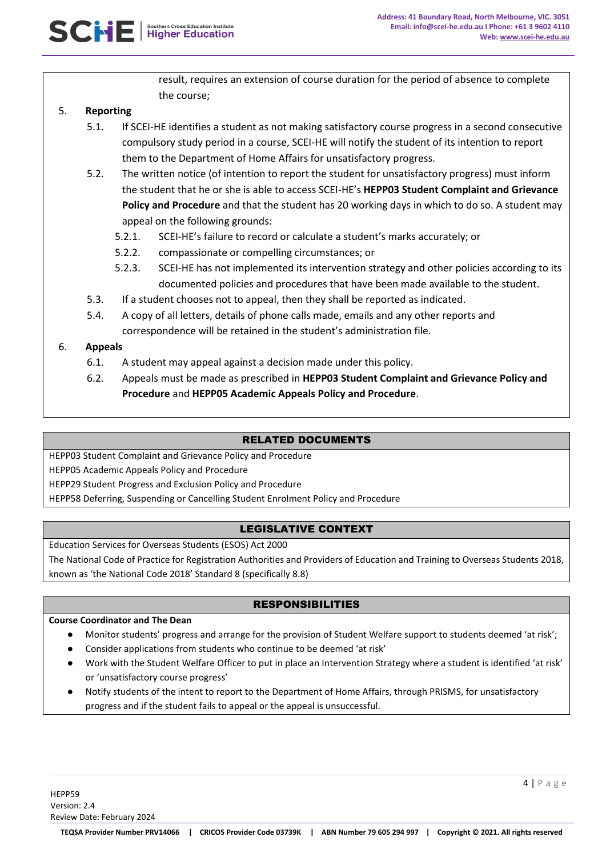result, requires an extension of course duration for the period of absence to complete the course;

### 5. **Reporting**

- 5.1. If SCEI-HE identifies a student as not making satisfactory course progress in a second consecutive compulsory study period in a course, SCEI-HE will notify the student of its intention to report them to the Department of Home Affairs for unsatisfactory progress.
- 5.2. The written notice (of intention to report the student for unsatisfactory progress) must inform the student that he or she is able to access SCEI-HE's **HEPP03 Student Complaint and Grievance Policy and Procedure** and that the student has 20 working days in which to do so. A student may appeal on the following grounds:
	- 5.2.1. SCEI-HE's failure to record or calculate a student's marks accurately; or
	- 5.2.2. compassionate or compelling circumstances; or
	- 5.2.3. SCEI-HE has not implemented its intervention strategy and other policies according to its documented policies and procedures that have been made available to the student.
- 5.3. If a student chooses not to appeal, then they shall be reported as indicated.
- 5.4. A copy of all letters, details of phone calls made, emails and any other reports and correspondence will be retained in the student's administration file.

### 6. **Appeals**

- 6.1. A student may appeal against a decision made under this policy.
- 6.2. Appeals must be made as prescribed in **HEPP03 Student Complaint and Grievance Policy and Procedure** and **HEPP05 Academic Appeals Policy and Procedure**.

### RELATED DOCUMENTS

HEPP03 Student Complaint and Grievance Policy and Procedure

HEPP05 Academic Appeals Policy and Procedure

HEPP29 Student Progress and Exclusion Policy and Procedure

HEPP58 Deferring, Suspending or Cancelling Student Enrolment Policy and Procedure

### LEGISLATIVE CONTEXT

Education Services for Overseas Students (ESOS) Act 2000

The National Code of Practice for Registration Authorities and Providers of Education and Training to Overseas Students 2018, known as 'the National Code 2018' Standard 8 (specifically 8.8)

## RESPONSIBILITIES

### **Course Coordinator and The Dean**

- Monitor students' progress and arrange for the provision of Student Welfare support to students deemed 'at risk';
- Consider applications from students who continue to be deemed 'at risk'
- Work with the Student Welfare Officer to put in place an Intervention Strategy where a student is identified 'at risk' or 'unsatisfactory course progress'
- Notify students of the intent to report to the Department of Home Affairs, through PRISMS, for unsatisfactory progress and if the student fails to appeal or the appeal is unsuccessful.